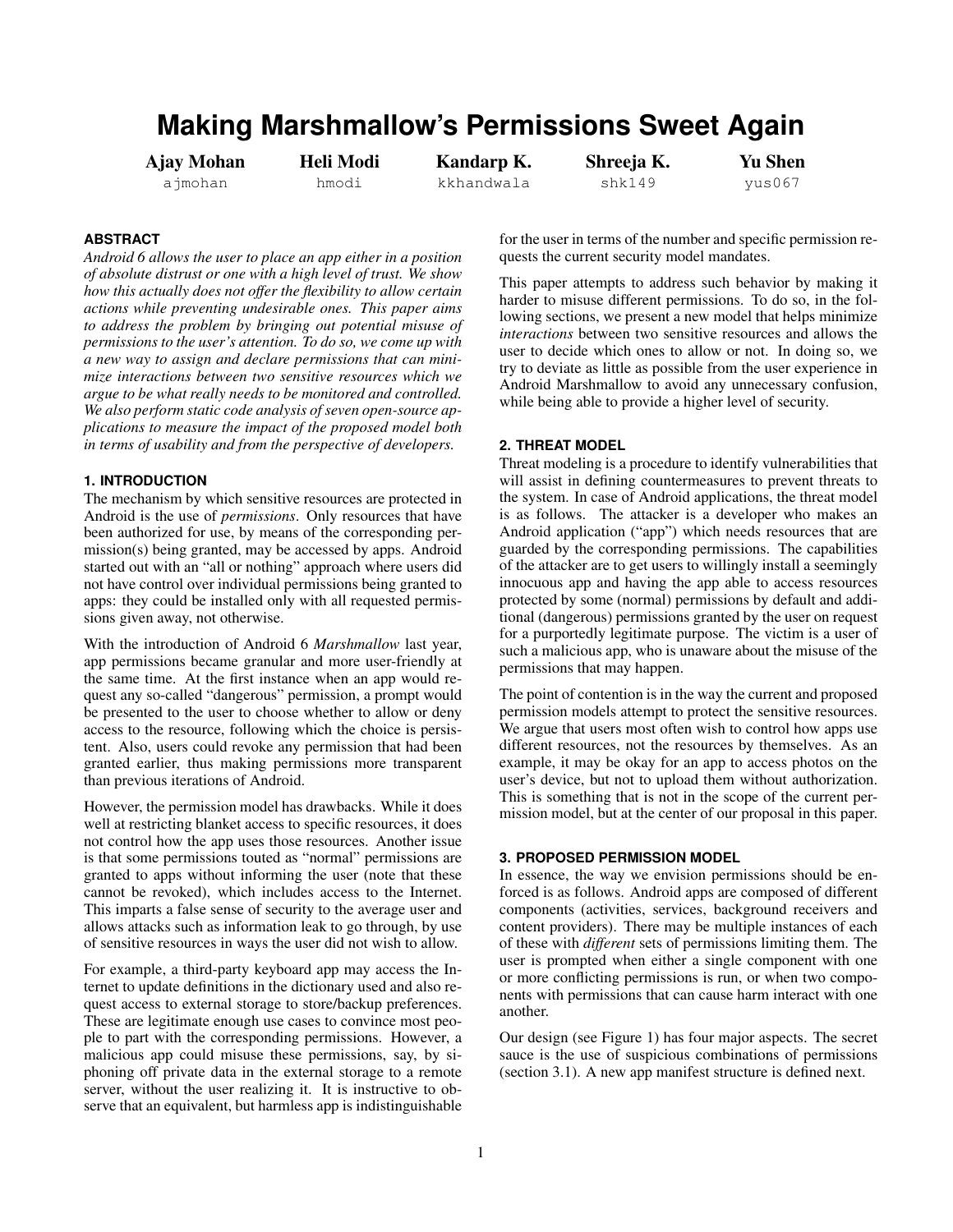# **Making Marshmallow's Permissions Sweet Again**

Ajay Mohan ajmohan

Heli Modi hmodi

Kandarp K. kkhandwala

Shreeja K. shk149

Yu Shen yus067

## **ABSTRACT**

*Android 6 allows the user to place an app either in a position of absolute distrust or one with a high level of trust. We show how this actually does not offer the flexibility to allow certain actions while preventing undesirable ones. This paper aims to address the problem by bringing out potential misuse of permissions to the user's attention. To do so, we come up with a new way to assign and declare permissions that can minimize interactions between two sensitive resources which we argue to be what really needs to be monitored and controlled. We also perform static code analysis of seven open-source applications to measure the impact of the proposed model both in terms of usability and from the perspective of developers.*

### **1. INTRODUCTION**

The mechanism by which sensitive resources are protected in Android is the use of *permissions*. Only resources that have been authorized for use, by means of the corresponding permission(s) being granted, may be accessed by apps. Android started out with an "all or nothing" approach where users did not have control over individual permissions being granted to apps: they could be installed only with all requested permissions given away, not otherwise.

With the introduction of Android 6 *Marshmallow* last year, app permissions became granular and more user-friendly at the same time. At the first instance when an app would request any so-called "dangerous" permission, a prompt would be presented to the user to choose whether to allow or deny access to the resource, following which the choice is persistent. Also, users could revoke any permission that had been granted earlier, thus making permissions more transparent than previous iterations of Android.

However, the permission model has drawbacks. While it does well at restricting blanket access to specific resources, it does not control how the app uses those resources. Another issue is that some permissions touted as "normal" permissions are granted to apps without informing the user (note that these cannot be revoked), which includes access to the Internet. This imparts a false sense of security to the average user and allows attacks such as information leak to go through, by use of sensitive resources in ways the user did not wish to allow.

For example, a third-party keyboard app may access the Internet to update definitions in the dictionary used and also request access to external storage to store/backup preferences. These are legitimate enough use cases to convince most people to part with the corresponding permissions. However, a malicious app could misuse these permissions, say, by siphoning off private data in the external storage to a remote server, without the user realizing it. It is instructive to observe that an equivalent, but harmless app is indistinguishable

for the user in terms of the number and specific permission requests the current security model mandates.

This paper attempts to address such behavior by making it harder to misuse different permissions. To do so, in the following sections, we present a new model that helps minimize *interactions* between two sensitive resources and allows the user to decide which ones to allow or not. In doing so, we try to deviate as little as possible from the user experience in Android Marshmallow to avoid any unnecessary confusion, while being able to provide a higher level of security.

## **2. THREAT MODEL**

Threat modeling is a procedure to identify vulnerabilities that will assist in defining countermeasures to prevent threats to the system. In case of Android applications, the threat model is as follows. The attacker is a developer who makes an Android application ("app") which needs resources that are guarded by the corresponding permissions. The capabilities of the attacker are to get users to willingly install a seemingly innocuous app and having the app able to access resources protected by some (normal) permissions by default and additional (dangerous) permissions granted by the user on request for a purportedly legitimate purpose. The victim is a user of such a malicious app, who is unaware about the misuse of the permissions that may happen.

The point of contention is in the way the current and proposed permission models attempt to protect the sensitive resources. We argue that users most often wish to control how apps use different resources, not the resources by themselves. As an example, it may be okay for an app to access photos on the user's device, but not to upload them without authorization. This is something that is not in the scope of the current permission model, but at the center of our proposal in this paper.

## **3. PROPOSED PERMISSION MODEL**

In essence, the way we envision permissions should be enforced is as follows. Android apps are composed of different components (activities, services, background receivers and content providers). There may be multiple instances of each of these with *different* sets of permissions limiting them. The user is prompted when either a single component with one or more conflicting permissions is run, or when two components with permissions that can cause harm interact with one another.

Our design (see Figure [1\)](#page-1-0) has four major aspects. The secret sauce is the use of suspicious combinations of permissions (section 3.1). A new app manifest structure is defined next.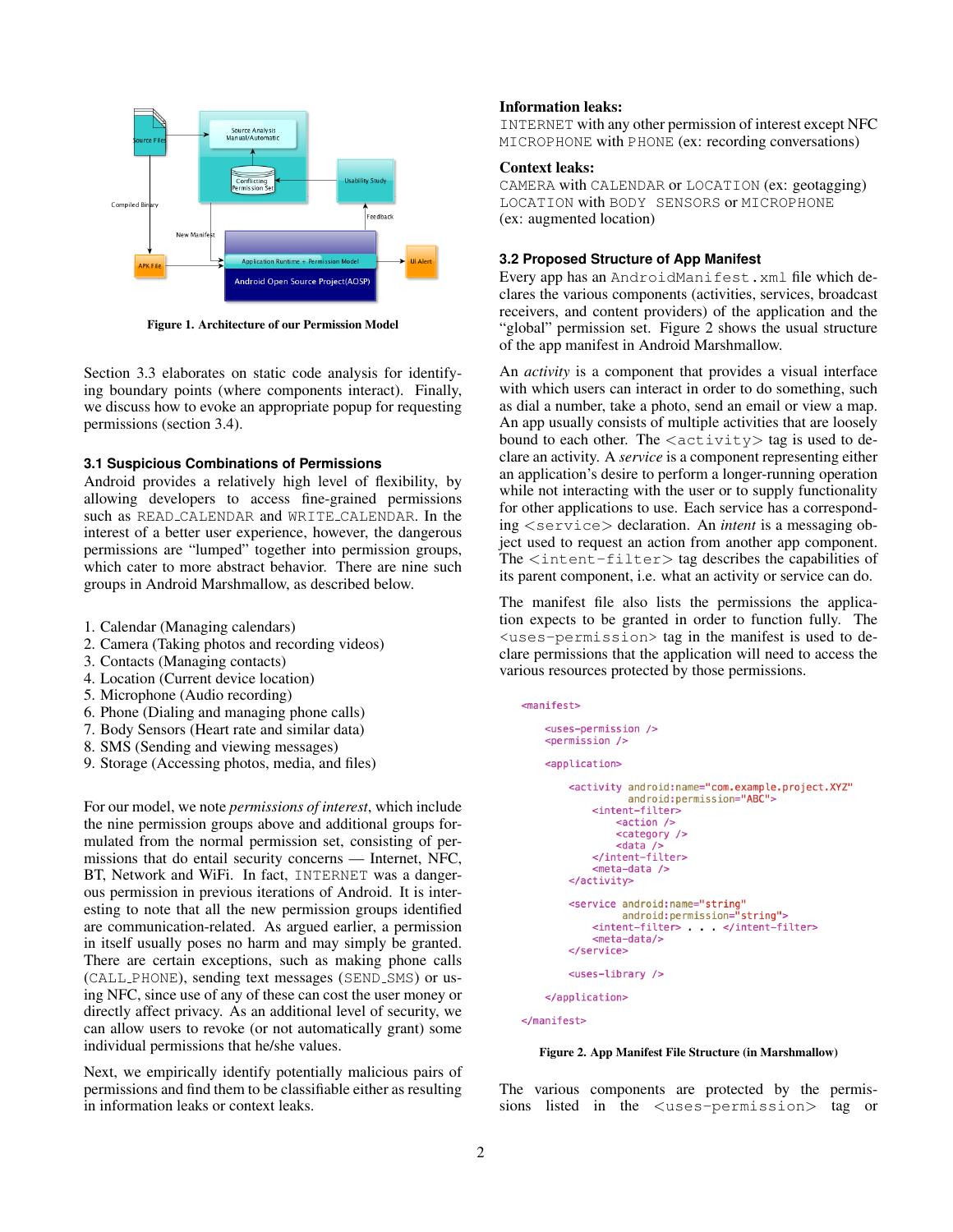

<span id="page-1-0"></span>Figure 1. Architecture of our Permission Model

Section 3.3 elaborates on static code analysis for identifying boundary points (where components interact). Finally, we discuss how to evoke an appropriate popup for requesting permissions (section 3.4).

#### **3.1 Suspicious Combinations of Permissions**

Android provides a relatively high level of flexibility, by allowing developers to access fine-grained permissions such as READ CALENDAR and WRITE CALENDAR. In the interest of a better user experience, however, the dangerous permissions are "lumped" together into permission groups, which cater to more abstract behavior. There are nine such groups in Android Marshmallow, as described below.

- 1. Calendar (Managing calendars)
- 2. Camera (Taking photos and recording videos)
- 3. Contacts (Managing contacts)
- 4. Location (Current device location)
- 5. Microphone (Audio recording)
- 6. Phone (Dialing and managing phone calls)
- 7. Body Sensors (Heart rate and similar data)
- 8. SMS (Sending and viewing messages)
- 9. Storage (Accessing photos, media, and files)

For our model, we note *permissions of interest*, which include the nine permission groups above and additional groups formulated from the normal permission set, consisting of permissions that do entail security concerns — Internet, NFC, BT, Network and WiFi. In fact, INTERNET was a dangerous permission in previous iterations of Android. It is interesting to note that all the new permission groups identified are communication-related. As argued earlier, a permission in itself usually poses no harm and may simply be granted. There are certain exceptions, such as making phone calls (CALL PHONE), sending text messages (SEND SMS) or using NFC, since use of any of these can cost the user money or directly affect privacy. As an additional level of security, we can allow users to revoke (or not automatically grant) some individual permissions that he/she values.

Next, we empirically identify potentially malicious pairs of permissions and find them to be classifiable either as resulting in information leaks or context leaks.

## Information leaks:

INTERNET with any other permission of interest except NFC MICROPHONE with PHONE (ex: recording conversations)

#### Context leaks:

CAMERA with CALENDAR or LOCATION (ex: geotagging) LOCATION with BODY SENSORS or MICROPHONE (ex: augmented location)

### **3.2 Proposed Structure of App Manifest**

Every app has an AndroidManifest.xml file which declares the various components (activities, services, broadcast receivers, and content providers) of the application and the "global" permission set. Figure [2](#page-1-1) shows the usual structure of the app manifest in Android Marshmallow.

An *activity* is a component that provides a visual interface with which users can interact in order to do something, such as dial a number, take a photo, send an email or view a map. An app usually consists of multiple activities that are loosely bound to each other. The  $\langle \text{activity} \rangle$  tag is used to declare an activity. A *service* is a component representing either an application's desire to perform a longer-running operation while not interacting with the user or to supply functionality for other applications to use. Each service has a corresponding <service> declaration. An *intent* is a messaging object used to request an action from another app component. The  $\langle$  intent-filter $\rangle$  tag describes the capabilities of its parent component, i.e. what an activity or service can do.

The manifest file also lists the permissions the application expects to be granted in order to function fully. The <uses-permission> tag in the manifest is used to declare permissions that the application will need to access the various resources protected by those permissions.

```
<manifest>
<uses-permission />
<permission />
<application>
    <activity android:name="com.example.project.XYZ"
              android: permission="ABC">
        <intent-filter>
             <sub>action</sub></sub>
             <category />
             <data />
        </intent-filter>
        <meta-data />
    </activity>
    <service android: name="string"
             android: permission="string">
        <intent-filter> </intent-filter>
        <meta-data/>
    </service>
    <uses-library />
</application>
```
</manifest>

#### <span id="page-1-1"></span>Figure 2. App Manifest File Structure (in Marshmallow)

The various components are protected by the permissions listed in the <uses-permission> tag or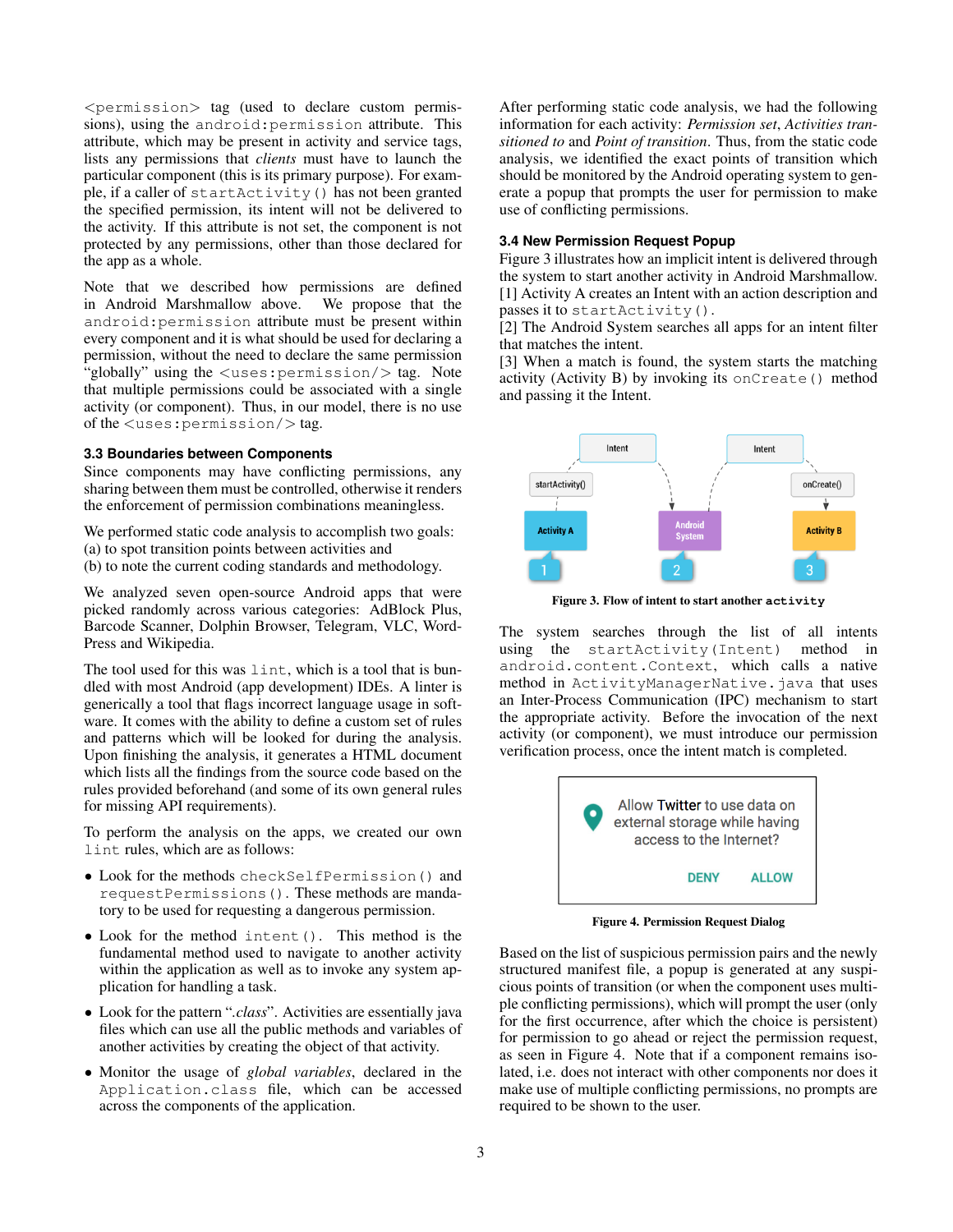$\leq$  permission $>$  tag (used to declare custom permissions), using the android:permission attribute. This attribute, which may be present in activity and service tags, lists any permissions that *clients* must have to launch the particular component (this is its primary purpose). For example, if a caller of startActivity() has not been granted the specified permission, its intent will not be delivered to the activity. If this attribute is not set, the component is not protected by any permissions, other than those declared for the app as a whole.

Note that we described how permissions are defined in Android Marshmallow above. We propose that the android:permission attribute must be present within every component and it is what should be used for declaring a permission, without the need to declare the same permission "globally" using the  $\langle$ uses: permission/ $>$  tag. Note that multiple permissions could be associated with a single activity (or component). Thus, in our model, there is no use of the <uses:permission/> tag.

## **3.3 Boundaries between Components**

Since components may have conflicting permissions, any sharing between them must be controlled, otherwise it renders the enforcement of permission combinations meaningless.

We performed static code analysis to accomplish two goals: (a) to spot transition points between activities and (b) to note the current coding standards and methodology.

We analyzed seven open-source Android apps that were picked randomly across various categories: AdBlock Plus, Barcode Scanner, Dolphin Browser, Telegram, VLC, Word-Press and Wikipedia.

The tool used for this was lint, which is a tool that is bundled with most Android (app development) IDEs. A linter is generically a tool that flags incorrect language usage in software. It comes with the ability to define a custom set of rules and patterns which will be looked for during the analysis. Upon finishing the analysis, it generates a HTML document which lists all the findings from the source code based on the rules provided beforehand (and some of its own general rules for missing API requirements).

To perform the analysis on the apps, we created our own lint rules, which are as follows:

- Look for the methods checkSelfPermission() and requestPermissions(). These methods are mandatory to be used for requesting a dangerous permission.
- Look for the method intent(). This method is the fundamental method used to navigate to another activity within the application as well as to invoke any system application for handling a task.
- Look for the pattern "*.class*". Activities are essentially java files which can use all the public methods and variables of another activities by creating the object of that activity.
- Monitor the usage of *global variables*, declared in the Application.class file, which can be accessed across the components of the application.

After performing static code analysis, we had the following information for each activity: *Permission set*, *Activities transitioned to* and *Point of transition*. Thus, from the static code analysis, we identified the exact points of transition which should be monitored by the Android operating system to generate a popup that prompts the user for permission to make use of conflicting permissions.

#### **3.4 New Permission Request Popup**

Figure [3](#page-2-0) illustrates how an implicit intent is delivered through the system to start another activity in Android Marshmallow. [1] Activity A creates an Intent with an action description and passes it to startActivity().

[2] The Android System searches all apps for an intent filter that matches the intent.

[3] When a match is found, the system starts the matching activity (Activity B) by invoking its onCreate() method and passing it the Intent.



<span id="page-2-0"></span>Figure 3. Flow of intent to start another **activity**

The system searches through the list of all intents using the startActivity(Intent) method in android.content.Context, which calls a native method in ActivityManagerNative.java that uses an Inter-Process Communication (IPC) mechanism to start the appropriate activity. Before the invocation of the next activity (or component), we must introduce our permission verification process, once the intent match is completed.



Figure 4. Permission Request Dialog

<span id="page-2-1"></span>Based on the list of suspicious permission pairs and the newly structured manifest file, a popup is generated at any suspicious points of transition (or when the component uses multiple conflicting permissions), which will prompt the user (only for the first occurrence, after which the choice is persistent) for permission to go ahead or reject the permission request, as seen in Figure [4.](#page-2-1) Note that if a component remains isolated, i.e. does not interact with other components nor does it make use of multiple conflicting permissions, no prompts are required to be shown to the user.